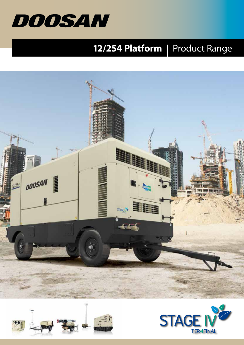

# **12/254 Platform** | Product Range





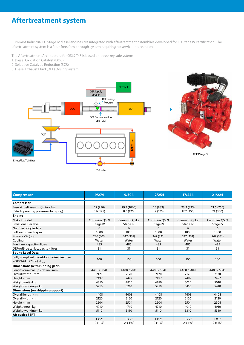# **Aftertreatment system**

Cummins Industrial EU Stage IV diesel engines are integrated with aftertreatment assemblies developed for EU Stage IV certification. The aftertreatment system is a filter-free, flow-through system requiring no service-intervention.

The Aftertreatment Architecture for QSL9 T4F is based on three key subsystems:

- 1. Diesel Oxidation Catalyst (DOC)
- 2. Selective Catalytic Reduction (SCR)
- 3. Diesel Exhaust Fluid (DEF) Dosing System



| <b>Compressor</b>                                                                 | 9/274                   | 9/304                   | 12/254                  | 17/244                  | 21/224                  |
|-----------------------------------------------------------------------------------|-------------------------|-------------------------|-------------------------|-------------------------|-------------------------|
| Compressor                                                                        |                         |                         |                         |                         |                         |
| Free air delivery - m <sup>3</sup> /min (cfm)                                     | 27 (950)                | 29.9 (1060)             | 25 (883)                | 23.3 (825)              | 21.5 (750)              |
| Rated operating pressure - bar (psig)                                             | 8.6(125)                | 8.6(125)                | 12 (175)                | 17.2 (250)              | 21 (300)                |
| <b>Engine</b>                                                                     |                         |                         |                         |                         |                         |
| Make / model                                                                      | <b>Cummins OSL9</b>     | <b>Cummins OSL9</b>     | <b>Cummins OSL9</b>     | <b>Cummins OSL9</b>     | <b>Cummins OSL9</b>     |
| <b>Emissions Tier level</b>                                                       | Stage IV                | Stage IV                | Stage IV                | Stage IV                | Stage IV                |
| Number of cylinders                                                               | 6                       | 6                       | 6                       | 6                       | 6                       |
| Full load speed - rpm                                                             | 1800                    | 1800                    | 1800                    | 1800                    | 1800                    |
| Power - kW (hp)                                                                   | 226 (303)               | 247 (331)               | 247 (331)               | 247 (331)               | 247 (331)               |
| Cooling                                                                           | Water                   | Water                   | Water                   | Water                   | Water                   |
| Fuel tank capacity - litres                                                       | 485                     | 485                     | 485                     | 485                     | 485                     |
| DEF/AdBlue tank capacity - litres                                                 | 31                      | 31                      | 31                      | 31                      | 31                      |
| <b>Sound Level Data</b>                                                           |                         |                         |                         |                         |                         |
| Fully compliant to outdoor noise directive<br>2000/14/EC (2006) - L <sub>wa</sub> | 100                     | 100                     | 100                     | 100                     | 100                     |
| Dimensions (with running gear)                                                    |                         |                         |                         |                         |                         |
| Length drawbar up / down - mm                                                     | 4408 / 5841             | 4408 / 5841             | 4408 / 5841             | 4408 / 5841             | 4408 / 5841             |
| Overall width - mm                                                                | 2120                    | 2120                    | 2120                    | 2120                    | 2120                    |
| Height - mm                                                                       | 2497                    | 2497                    | 2497                    | 2497                    | 2497                    |
| Weight (net) - kg                                                                 | 4810                    | 4810                    | 4810                    | 5010                    | 5010                    |
| Weight (working) - kg                                                             | 5210                    | 5210                    | 5210                    | 5410                    | 5410                    |
| Dimensions (on shipping support)                                                  |                         |                         |                         |                         |                         |
| Overall length - mm                                                               | 4408                    | 4408                    | 4408                    | 4408                    | 4408                    |
| Overall width - mm                                                                | 2120                    | 2120                    | 2120                    | 2120                    | 2120                    |
| Height - mm                                                                       | 2504                    | 2504                    | 2504                    | 2504                    | 2504                    |
| Weight (net) - kg                                                                 | 4710                    | 4710                    | 4710                    | 4910                    | 4910                    |
| Weight (working) - kg                                                             | 5110                    | 5110                    | 5110                    | 5310                    | 5310                    |
| <b>Air outlet BSPT</b>                                                            |                         |                         |                         |                         |                         |
|                                                                                   | $1 \times 2$ "          | $1 \times 2$ "          | $1 \times 2$ "          | $1 \times 2$ "          | $1 \times 2$ "          |
|                                                                                   | $2 \times 1\frac{1}{4}$ | $2 \times 1\frac{1}{4}$ | $2 \times 1\frac{1}{4}$ | $2 \times 1\frac{1}{4}$ | $2 \times 1\frac{1}{4}$ |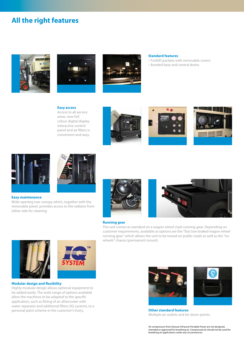## **All the right features**







#### **Standard features**

- Forklift pockets with removable covers
- Bunded base and central drains

#### **Easy access** Access to all service areas, new full colour digital display interactive control panel and air filters is convenient and easy.









#### **Easy maintenance**

Wide opening rear canopy which, together with the removable panel, provides access to the radiator from either side for cleaning



wheels" chassis (permanent mount).



#### **Running gear**







#### **Modular design and flexibility**

Highly modular design allows optional equipment to be added easily. The wide range of options available allow the machines to be adapted to the specific application, such as fitting of an aftercooler with water separator and additional filters (IQ-system), to a personal paint scheme in the customer's livery.





**Other standard features** Multiple air outlets and tie-down points.

Air compressors from Doosan Infracore Portable Power are not designed, intended or approved for breathing air. Compressed air should not be used for breathing air applications under any circumstances.